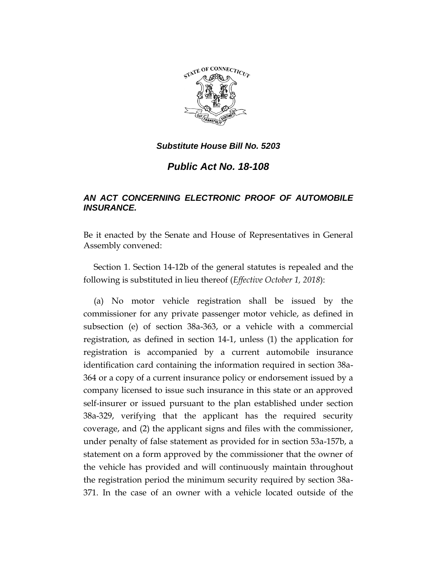

*Public Act No. 18-108*

## *AN ACT CONCERNING ELECTRONIC PROOF OF AUTOMOBILE INSURANCE.*

Be it enacted by the Senate and House of Representatives in General Assembly convened:

Section 1. Section 14-12b of the general statutes is repealed and the following is substituted in lieu thereof (*Effective October 1, 2018*):

(a) No motor vehicle registration shall be issued by the commissioner for any private passenger motor vehicle, as defined in subsection (e) of section 38a-363, or a vehicle with a commercial registration, as defined in section 14-1, unless (1) the application for registration is accompanied by a current automobile insurance identification card containing the information required in section 38a-364 or a copy of a current insurance policy or endorsement issued by a company licensed to issue such insurance in this state or an approved self-insurer or issued pursuant to the plan established under section 38a-329, verifying that the applicant has the required security coverage, and (2) the applicant signs and files with the commissioner, under penalty of false statement as provided for in section 53a-157b, a statement on a form approved by the commissioner that the owner of the vehicle has provided and will continuously maintain throughout the registration period the minimum security required by section 38a-371. In the case of an owner with a vehicle located outside of the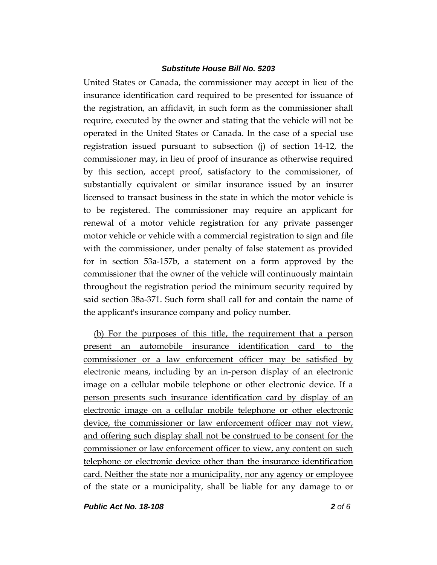United States or Canada, the commissioner may accept in lieu of the insurance identification card required to be presented for issuance of the registration, an affidavit, in such form as the commissioner shall require, executed by the owner and stating that the vehicle will not be operated in the United States or Canada. In the case of a special use registration issued pursuant to subsection (j) of section 14-12, the commissioner may, in lieu of proof of insurance as otherwise required by this section, accept proof, satisfactory to the commissioner, of substantially equivalent or similar insurance issued by an insurer licensed to transact business in the state in which the motor vehicle is to be registered. The commissioner may require an applicant for renewal of a motor vehicle registration for any private passenger motor vehicle or vehicle with a commercial registration to sign and file with the commissioner, under penalty of false statement as provided for in section 53a-157b, a statement on a form approved by the commissioner that the owner of the vehicle will continuously maintain throughout the registration period the minimum security required by said section 38a-371. Such form shall call for and contain the name of the applicant's insurance company and policy number.

(b) For the purposes of this title, the requirement that a person present an automobile insurance identification card to the commissioner or a law enforcement officer may be satisfied by electronic means, including by an in-person display of an electronic image on a cellular mobile telephone or other electronic device. If a person presents such insurance identification card by display of an electronic image on a cellular mobile telephone or other electronic device, the commissioner or law enforcement officer may not view, and offering such display shall not be construed to be consent for the commissioner or law enforcement officer to view, any content on such telephone or electronic device other than the insurance identification card. Neither the state nor a municipality, nor any agency or employee of the state or a municipality, shall be liable for any damage to or

*Public Act No. 18-108 2 of 6*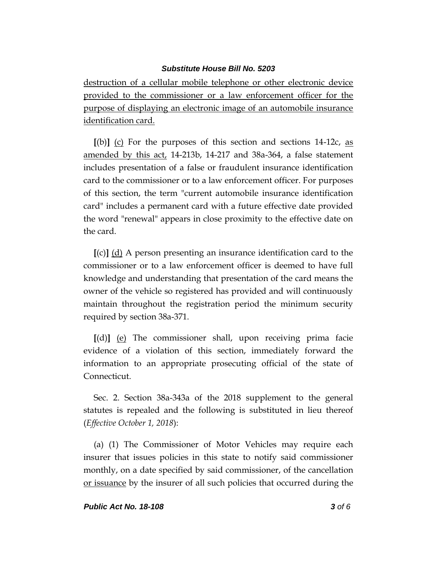destruction of a cellular mobile telephone or other electronic device provided to the commissioner or a law enforcement officer for the purpose of displaying an electronic image of an automobile insurance identification card.

**[**(b)**]** (c) For the purposes of this section and sections 14-12c, as amended by this act, 14-213b, 14-217 and 38a-364, a false statement includes presentation of a false or fraudulent insurance identification card to the commissioner or to a law enforcement officer. For purposes of this section, the term "current automobile insurance identification card" includes a permanent card with a future effective date provided the word "renewal" appears in close proximity to the effective date on the card.

**[**(c)**]** (d) A person presenting an insurance identification card to the commissioner or to a law enforcement officer is deemed to have full knowledge and understanding that presentation of the card means the owner of the vehicle so registered has provided and will continuously maintain throughout the registration period the minimum security required by section 38a-371.

**[**(d)**]** (e) The commissioner shall, upon receiving prima facie evidence of a violation of this section, immediately forward the information to an appropriate prosecuting official of the state of Connecticut.

Sec. 2. Section 38a-343a of the 2018 supplement to the general statutes is repealed and the following is substituted in lieu thereof (*Effective October 1, 2018*):

(a) (1) The Commissioner of Motor Vehicles may require each insurer that issues policies in this state to notify said commissioner monthly, on a date specified by said commissioner, of the cancellation or issuance by the insurer of all such policies that occurred during the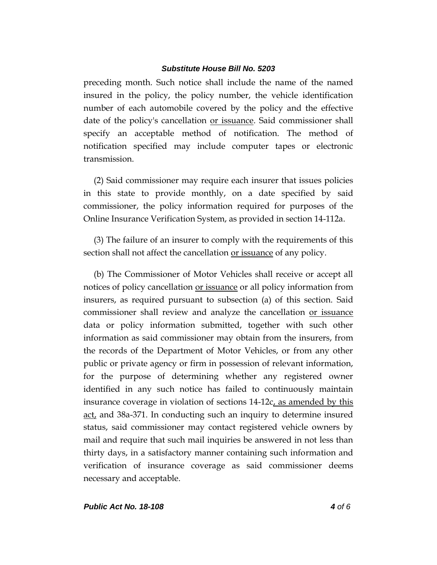preceding month. Such notice shall include the name of the named insured in the policy, the policy number, the vehicle identification number of each automobile covered by the policy and the effective date of the policy's cancellation <u>or issuance</u>. Said commissioner shall specify an acceptable method of notification. The method of notification specified may include computer tapes or electronic transmission.

(2) Said commissioner may require each insurer that issues policies in this state to provide monthly, on a date specified by said commissioner, the policy information required for purposes of the Online Insurance Verification System, as provided in section 14-112a.

(3) The failure of an insurer to comply with the requirements of this section shall not affect the cancellation <u>or issuance</u> of any policy.

(b) The Commissioner of Motor Vehicles shall receive or accept all notices of policy cancellation or issuance or all policy information from insurers, as required pursuant to subsection (a) of this section. Said commissioner shall review and analyze the cancellation or issuance data or policy information submitted, together with such other information as said commissioner may obtain from the insurers, from the records of the Department of Motor Vehicles, or from any other public or private agency or firm in possession of relevant information, for the purpose of determining whether any registered owner identified in any such notice has failed to continuously maintain insurance coverage in violation of sections 14-12c, as amended by this <u>act</u>, and 38a-371. In conducting such an inquiry to determine insured status, said commissioner may contact registered vehicle owners by mail and require that such mail inquiries be answered in not less than thirty days, in a satisfactory manner containing such information and verification of insurance coverage as said commissioner deems necessary and acceptable.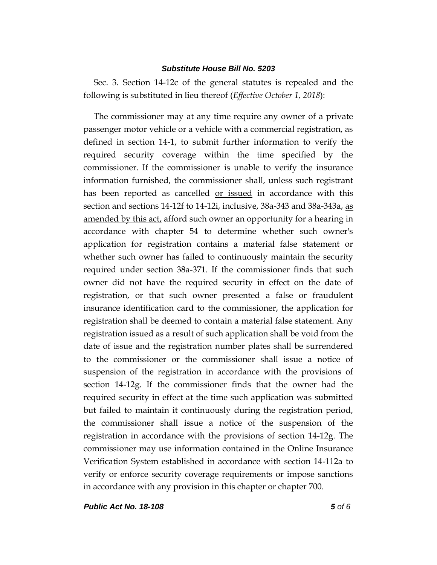Sec. 3. Section 14-12c of the general statutes is repealed and the following is substituted in lieu thereof (*Effective October 1, 2018*):

The commissioner may at any time require any owner of a private passenger motor vehicle or a vehicle with a commercial registration, as defined in section 14-1, to submit further information to verify the required security coverage within the time specified by the commissioner. If the commissioner is unable to verify the insurance information furnished, the commissioner shall, unless such registrant has been reported as cancelled <u>or issued</u> in accordance with this section and sections 14-12f to 14-12i, inclusive, 38a-343 and 38a-343a, as amended by this act, afford such owner an opportunity for a hearing in accordance with chapter 54 to determine whether such owner's application for registration contains a material false statement or whether such owner has failed to continuously maintain the security required under section 38a-371. If the commissioner finds that such owner did not have the required security in effect on the date of registration, or that such owner presented a false or fraudulent insurance identification card to the commissioner, the application for registration shall be deemed to contain a material false statement. Any registration issued as a result of such application shall be void from the date of issue and the registration number plates shall be surrendered to the commissioner or the commissioner shall issue a notice of suspension of the registration in accordance with the provisions of section 14-12g. If the commissioner finds that the owner had the required security in effect at the time such application was submitted but failed to maintain it continuously during the registration period, the commissioner shall issue a notice of the suspension of the registration in accordance with the provisions of section 14-12g. The commissioner may use information contained in the Online Insurance Verification System established in accordance with section 14-112a to verify or enforce security coverage requirements or impose sanctions in accordance with any provision in this chapter or chapter 700.

*Public Act No. 18-108 5 of 6*